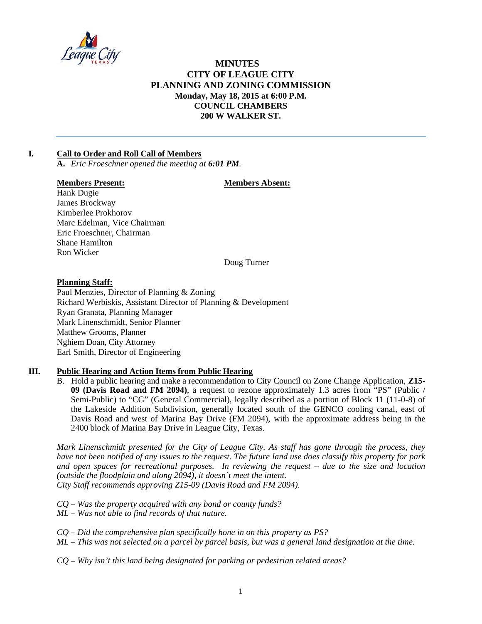

# **MINUTES CITY OF LEAGUE CITY** PLANNING AND ZONING COMMISSION Monday, May 18, 2015 at 6:00 P.M. **COUNCIL CHAMBERS** 200 W WALKER ST.

#### $\mathbf{L}$ **Call to Order and Roll Call of Members**

A. Eric Froeschner opened the meeting at 6:01 PM.

## **Members Present:**

## **Members Absent:**

Hank Dugie James Brockway Kimberlee Prokhorov Marc Edelman, Vice Chairman Eric Froeschner, Chairman Shane Hamilton Ron Wicker

Doug Turner

## **Planning Staff:**

Paul Menzies, Director of Planning & Zoning Richard Werbiskis, Assistant Director of Planning & Development Ryan Granata, Planning Manager Mark Linenschmidt, Senior Planner **Matthew Grooms, Planner** Nghiem Doan, City Attorney Earl Smith, Director of Engineering

#### Ш. **Public Hearing and Action Items from Public Hearing**

B. Hold a public hearing and make a recommendation to City Council on Zone Change Application, Z15-09 (Davis Road and FM 2094), a request to rezone approximately 1.3 acres from "PS" (Public / Semi-Public) to "CG" (General Commercial), legally described as a portion of Block 11 (11-0-8) of the Lakeside Addition Subdivision, generally located south of the GENCO cooling canal, east of Davis Road and west of Marina Bay Drive (FM 2094), with the approximate address being in the 2400 block of Marina Bay Drive in League City, Texas.

Mark Linenschmidt presented for the City of League City. As staff has gone through the process, they have not been notified of any issues to the request. The future land use does classify this property for park and open spaces for recreational purposes. In reviewing the request  $-$  due to the size and location (outside the floodplain and along 2094), it doesn't meet the intent. City Staff recommends approving Z15-09 (Davis Road and FM 2094).

- $CQ$  Was the property acquired with any bond or county funds?
- $ML$  Was not able to find records of that nature.
- $CQ$  Did the comprehensive plan specifically hone in on this property as PS?
- ML This was not selected on a parcel by parcel basis, but was a general land designation at the time.
- $CQ$  Why isn't this land being designated for parking or pedestrian related areas?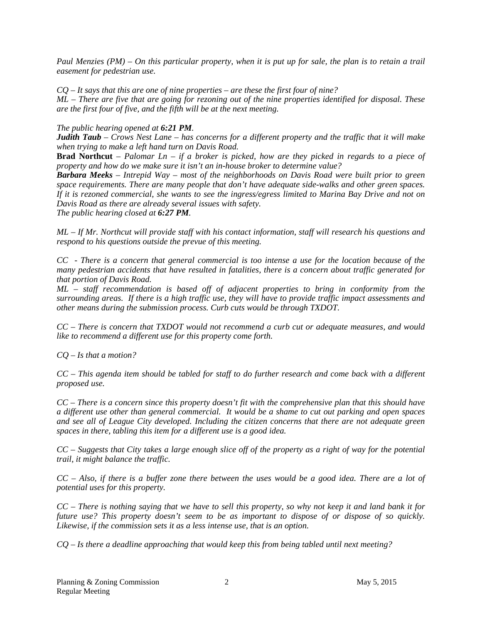*Paul Menzies (PM) – On this particular property, when it is put up for sale, the plan is to retain a trail easement for pedestrian use.* 

*CQ – It says that this are one of nine properties – are these the first four of nine?* 

*ML – There are five that are going for rezoning out of the nine properties identified for disposal. These are the first four of five, and the fifth will be at the next meeting.* 

*The public hearing opened at 6:21 PM.* 

*Judith Taub – Crows Nest Lane – has concerns for a different property and the traffic that it will make when trying to make a left hand turn on Davis Road.* 

**Brad Northcut** *– Palomar Ln – if a broker is picked, how are they picked in regards to a piece of property and how do we make sure it isn't an in-house broker to determine value?* 

*Barbara Meeks – Intrepid Way – most of the neighborhoods on Davis Road were built prior to green space requirements. There are many people that don't have adequate side-walks and other green spaces. If it is rezoned commercial, she wants to see the ingress/egress limited to Marina Bay Drive and not on Davis Road as there are already several issues with safety.* 

*The public hearing closed at 6:27 PM.* 

*ML – If Mr. Northcut will provide staff with his contact information, staff will research his questions and respond to his questions outside the prevue of this meeting.* 

*CC - There is a concern that general commercial is too intense a use for the location because of the many pedestrian accidents that have resulted in fatalities, there is a concern about traffic generated for that portion of Davis Road.* 

*ML – staff recommendation is based off of adjacent properties to bring in conformity from the surrounding areas. If there is a high traffic use, they will have to provide traffic impact assessments and other means during the submission process. Curb cuts would be through TXDOT.* 

*CC – There is concern that TXDOT would not recommend a curb cut or adequate measures, and would like to recommend a different use for this property come forth.* 

*CQ – Is that a motion?* 

*CC – This agenda item should be tabled for staff to do further research and come back with a different proposed use.* 

*CC – There is a concern since this property doesn't fit with the comprehensive plan that this should have a different use other than general commercial. It would be a shame to cut out parking and open spaces and see all of League City developed. Including the citizen concerns that there are not adequate green spaces in there, tabling this item for a different use is a good idea.* 

*CC – Suggests that City takes a large enough slice off of the property as a right of way for the potential trail, it might balance the traffic.* 

*CC – Also, if there is a buffer zone there between the uses would be a good idea. There are a lot of potential uses for this property.* 

*CC – There is nothing saying that we have to sell this property, so why not keep it and land bank it for future use? This property doesn't seem to be as important to dispose of or dispose of so quickly. Likewise, if the commission sets it as a less intense use, that is an option.* 

*CQ – Is there a deadline approaching that would keep this from being tabled until next meeting?*